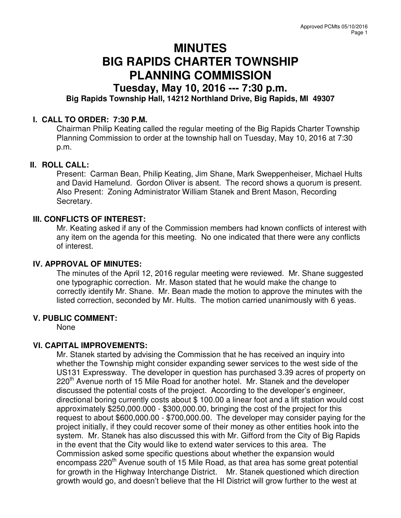# **MINUTES BIG RAPIDS CHARTER TOWNSHIP PLANNING COMMISSION**

# **Tuesday, May 10, 2016 --- 7:30 p.m.**

# **Big Rapids Township Hall, 14212 Northland Drive, Big Rapids, MI 49307**

### **I. CALL TO ORDER: 7:30 P.M.**

Chairman Philip Keating called the regular meeting of the Big Rapids Charter Township Planning Commission to order at the township hall on Tuesday, May 10, 2016 at 7:30 p.m.

#### **II. ROLL CALL:**

Present: Carman Bean, Philip Keating, Jim Shane, Mark Sweppenheiser, Michael Hults and David Hamelund. Gordon Oliver is absent. The record shows a quorum is present. Also Present: Zoning Administrator William Stanek and Brent Mason, Recording Secretary.

#### **III. CONFLICTS OF INTEREST:**

Mr. Keating asked if any of the Commission members had known conflicts of interest with any item on the agenda for this meeting. No one indicated that there were any conflicts of interest.

#### **IV. APPROVAL OF MINUTES:**

The minutes of the April 12, 2016 regular meeting were reviewed. Mr. Shane suggested one typographic correction. Mr. Mason stated that he would make the change to correctly identify Mr. Shane. Mr. Bean made the motion to approve the minutes with the listed correction, seconded by Mr. Hults. The motion carried unanimously with 6 yeas.

#### **V. PUBLIC COMMENT:**

None

### **VI. CAPITAL IMPROVEMENTS:**

Mr. Stanek started by advising the Commission that he has received an inquiry into whether the Township might consider expanding sewer services to the west side of the US131 Expressway. The developer in question has purchased 3.39 acres of property on 220<sup>th</sup> Avenue north of 15 Mile Road for another hotel. Mr. Stanek and the developer discussed the potential costs of the project. According to the developer's engineer, directional boring currently costs about \$ 100.00 a linear foot and a lift station would cost approximately \$250,000.000 - \$300,000.00, bringing the cost of the project for this request to about \$600,000.00 - \$700,000.00. The developer may consider paying for the project initially, if they could recover some of their money as other entities hook into the system. Mr. Stanek has also discussed this with Mr. Gifford from the City of Big Rapids in the event that the City would like to extend water services to this area. The Commission asked some specific questions about whether the expansion would encompass 220<sup>th</sup> Avenue south of 15 Mile Road, as that area has some great potential for growth in the Highway Interchange District. Mr. Stanek questioned which direction growth would go, and doesn't believe that the HI District will grow further to the west at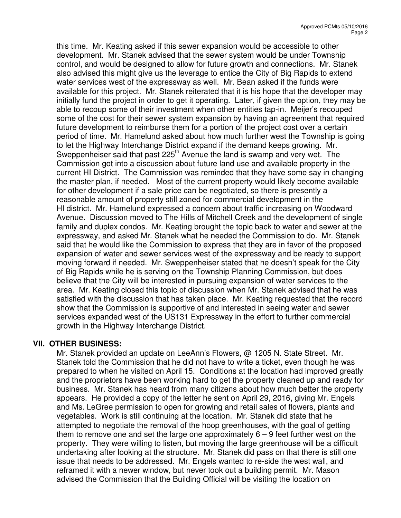this time. Mr. Keating asked if this sewer expansion would be accessible to other development. Mr. Stanek advised that the sewer system would be under Township control, and would be designed to allow for future growth and connections. Mr. Stanek also advised this might give us the leverage to entice the City of Big Rapids to extend water services west of the expressway as well. Mr. Bean asked if the funds were available for this project. Mr. Stanek reiterated that it is his hope that the developer may initially fund the project in order to get it operating. Later, if given the option, they may be able to recoup some of their investment when other entities tap-in. Meijer's recouped some of the cost for their sewer system expansion by having an agreement that required future development to reimburse them for a portion of the project cost over a certain period of time. Mr. Hamelund asked about how much further west the Township is going to let the Highway Interchange District expand if the demand keeps growing. Mr. Sweppenheiser said that past 225<sup>th</sup> Avenue the land is swamp and very wet. The Commission got into a discussion about future land use and available property in the current HI District. The Commission was reminded that they have some say in changing the master plan, if needed. Most of the current property would likely become available for other development if a sale price can be negotiated, so there is presently a reasonable amount of property still zoned for commercial development in the HI district. Mr. Hamelund expressed a concern about traffic increasing on Woodward Avenue. Discussion moved to The Hills of Mitchell Creek and the development of single family and duplex condos. Mr. Keating brought the topic back to water and sewer at the expressway, and asked Mr. Stanek what he needed the Commission to do. Mr. Stanek said that he would like the Commission to express that they are in favor of the proposed expansion of water and sewer services west of the expressway and be ready to support moving forward if needed. Mr. Sweppenheiser stated that he doesn't speak for the City of Big Rapids while he is serving on the Township Planning Commission, but does believe that the City will be interested in pursuing expansion of water services to the area. Mr. Keating closed this topic of discussion when Mr. Stanek advised that he was satisfied with the discussion that has taken place. Mr. Keating requested that the record show that the Commission is supportive of and interested in seeing water and sewer services expanded west of the US131 Expressway in the effort to further commercial growth in the Highway Interchange District.

# **VII. OTHER BUSINESS:**

Mr. Stanek provided an update on LeeAnn's Flowers, @ 1205 N. State Street. Mr. Stanek told the Commission that he did not have to write a ticket, even though he was prepared to when he visited on April 15. Conditions at the location had improved greatly and the proprietors have been working hard to get the property cleaned up and ready for business. Mr. Stanek has heard from many citizens about how much better the property appears. He provided a copy of the letter he sent on April 29, 2016, giving Mr. Engels and Ms. LeGree permission to open for growing and retail sales of flowers, plants and vegetables. Work is still continuing at the location. Mr. Stanek did state that he attempted to negotiate the removal of the hoop greenhouses, with the goal of getting them to remove one and set the large one approximately  $6 - 9$  feet further west on the property. They were willing to listen, but moving the large greenhouse will be a difficult undertaking after looking at the structure. Mr. Stanek did pass on that there is still one issue that needs to be addressed. Mr. Engels wanted to re-side the west wall, and reframed it with a newer window, but never took out a building permit. Mr. Mason advised the Commission that the Building Official will be visiting the location on